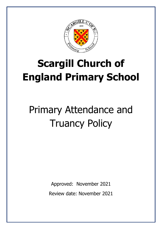

# **Scargill Church of England Primary School**

# Primary Attendance and Truancy Policy

Approved: November 2021 Review date: November 2021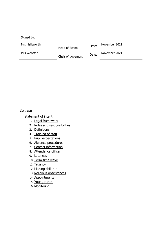Signed by:

Mrs Hallsworth

Head of School Date: November 2021

Mrs Webster

Chair of governors Date: November 2021

#### **Contents**

Statement of intent

- 1. [Legal framework](#page-2-0)
- 2. [Roles and responsibilities](#page-2-1)
- 3. [Definitions](#page-3-0)
- 4. [Training of staff](#page-4-0)
- 5. [Pupil expectations](#page-4-1)
- 6. [Absence procedures](#page-4-2)
- 7. [Contact information](#page-5-0)
- 8. [Attendance officer](#page-5-1)
- 9. [Lateness](#page-5-2)
- 10. [Term-time leave](#page-6-0)
- 11. [Truancy](#page-6-1)
- 12. [Missing children](#page-6-2)
- 13. [Religious observances](#page-8-0)
- 14. [Appointments](#page-8-1)
- 15. [Young carers](#page-8-2)
- 16. Monitoring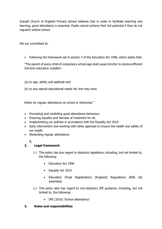Scargill Church of England Primary School believes that in order to facilitate teaching and learning, good attendance is essential. Pupils cannot achieve their full potential if they do not regularly attend school.

We are committed to:

• Following the framework set in section 7 of the Education Act 1996, which states that:

"The parent of every child of compulsory school age shall cause him/her to receive efficient full-time education suitable:-

(a) to age, ability and aptitude and

(b) to any special educational needs he/ she may have

Either by regular attendance at school or otherwise."

- Promoting and modelling good attendance behaviour.
- Ensuring equality and fairness of treatment for all.
- Implementing our policies in accordance with the Equality Act 2010.
- Early intervention and working with other agencies to ensure the health and safety of our pupils.
- Rewarding regular attendance.

### **1.**

### <span id="page-2-0"></span>**2. Legal framework**

- 2.1. This policy has due regard to statutory legislation, including, but not limited to, the following:
	- Education Act 1996
	- Equality Act 2010
	- Education (Pupil Registration) (England) Regulations 2006 (As amended)
- 2.2. This policy also has regard to non-statutory DfE guidance, including, but not limited to, the following:
	- DfE (2016) 'School attendance'

#### <span id="page-2-1"></span>**3. Roles and responsibilities**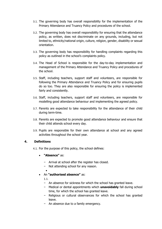- 3.1. The governing body has overall responsibility for the implementation of the Primary Attendance and Truancy Policy and procedures of the school.
- 3.2. The governing body has overall responsibility for ensuring that the attendance policy, as written, does not discriminate on any grounds, including, but not limited to, ethnicity/national origin, culture, religion, gender, disability or sexual orientation.
- 3.3. The governing body has responsibility for handling complaints regarding this policy as outlined in the school's complaints policy.
- 3.4. The Head of School is responsible for the day-to-day implementation and management of the Primary Attendance and Truancy Policy and procedures of the school.
- 3.5. Staff, including teachers, support staff and volunteers, are responsible for following the Primary Attendance and Truancy Policy and for ensuring pupils do so too. They are also responsible for ensuring the policy is implemented fairly and consistently.
- 3.6. Staff, including teachers, support staff and volunteers, are responsible for modelling good attendance behaviour and implementing the agreed policy.
- 3.7. Parents are expected to take responsibility for the attendance of their child during term-time.
- 3.8. Parents are expected to promote good attendance behaviour and ensure that their child attends school every day.
- 3.9. Pupils are responsible for their own attendance at school and any agreed activities throughout the school year.

#### <span id="page-3-0"></span>**4. Definitions**

- 4.1. For the purpose of this policy, the school defines:
	- **"Absence"** as:
		- − Arrival at school after the register has closed.
		- − Not attending school for any reason.
			- •
	- An **"authorised absence"** as:
		- 1.1.
		- − An absence for sickness for which the school has granted leave.
		- − Medical or dental appointments which **unavoidably** fall during school time, for which the school has granted leave.
		- − Religious or cultural observances for which the school has granted leave.
		- − An absence due to a family emergency.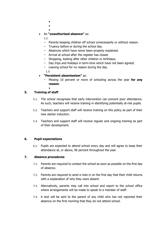- •
- •
- •
- An **"unauthorised absence"** as:
	- 1.2.
	- − Parents keeping children off school unnecessarily or without reason.
	- − Truancy before or during the school day.
	- − Absences which have never been properly explained.
	- − Arrival at school after the register has closed.
	- − Shopping, looking after other children or birthdays.
	- − Day trips and holidays in term-time which have not been agreed.
	- − Leaving school for no reason during the day.

1.3.

#### • **"Persistent absenteeism"** as:

- − Missing 10 percent or more of schooling across the year **for any reason**.
	- •

#### <span id="page-4-0"></span>**5. Training of staff**

- 5.1. The school recognises that early intervention can prevent poor attendance. As such, teachers will receive training in identifying potentially at-risk pupils.
- 5.2. Teachers and support staff will receive training on this policy as part of their new starter induction.
- 5.3. Teachers and support staff will receive regular and ongoing training as part of their development.

#### <span id="page-4-1"></span>**6. Pupil expectations**

6.1. Pupils are expected to attend school every day and will agree to keep their attendance at, or above, 96 percent throughout the year.

#### <span id="page-4-2"></span>**7. Absence procedures**

- 7.1. Parents are required to contact the school as soon as possible on the first day of absence.
- 7.2. Parents are required to send a note in on the first day that their child returns with a explanation of why they were absent.
- 7.3. Alternatively, parents may call into school and report to the school office where arrangements will be made to speak to a member of staff.
- 7.4. A text will be sent to the parent of any child who has not reported their absence on the first morning that they do not attend school.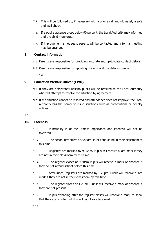- 7.5. This will be followed up, if necessary with a phone call and ultimately a safe and well check.
- 7.6. If a pupil's absence drops below 90 percent, the Local Authority may informed and the child monitored.
- 7.7. If improvement is not seen, parents will be contacted and a formal meeting may be arranged.

#### <span id="page-5-0"></span>**8. Contact information**

- 8.1. Parents are responsible for providing accurate and up-to-date contact details.
- 8.2. Parents are responsible for updating the school if the details change.

1.4.

#### <span id="page-5-1"></span>**9. Education Welfare Officer (EWO)**

- 9.1. If they are persistently absent, pupils will be referred to the Local Authotity who will attempt to resolve the situation by agreement.
- 9.2. If the situation cannot be resolved and attendance does not improve, the Local Authority has the power to issue sanctions such as prosecutions or penalty notices.

#### 1.5.

#### <span id="page-5-2"></span>**10. Lateness**

- 10.1. Punctuality is of the utmost importance and lateness will not be tolerated.
- 10.2. The school day starts at 8.55am. Pupils should be in their classroom at this time.
- 10.3. Registers are marked by 9.05am. Pupils will receive a late mark if they are not in their classroom by this time.
- 10.4. The register closes at 9.20am Pupils will receive a mark of absence if they do not attend school before this time.
- 10.5. After lunch, registers are marked by 1.20pm. Pupils will receive a late mark if they are not in their classroom by this time.
- 10.6. The register closes at 1.20pm. Pupils will receive a mark of absence if they are not present.
- 10.7. Pupils attending after the register closes will receive a mark to show that they are on site, but this will count as a late mark.

10.8.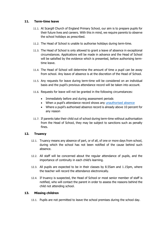#### <span id="page-6-0"></span>**11. Term-time leave**

- 11.1. At Scargill Church of England Primary School, our aim is to prepare pupils for their future lives and careers. With this in mind, we require parents to observe the school holidays as prescribed.
- 11.2. The Head of School is unable to authorise holidays during term-time.
- 11.3. The Head of School is only allowed to grant a leave of absence in exceptional circumstances. Applications will be made in advance and the Head of School will be satisfied by the evidence which is presented, before authorising termtime leave.
- 11.4. The Head of School will determine the amount of time a pupil can be away from school. Any leave of absence is at the discretion of the Head of School.
- 11.5. Any requests for leave during term-time will be considered on an individual basis and the pupil's previous attendance record will be taken into account.
- 11.6. Requests for leave will not be granted in the following circumstances:
	- Immediately before and during assessment periods
	- When a pupil's attendance record shows any unauthorised absence
	- Where a pupil's authorised absence record is already above 10 percent for any reason
- 11.7. If parents take their child out of school during term-time without authorisation from the Head of School, they may be subject to sanctions such as penalty fines.

#### <span id="page-6-1"></span>**12. Truancy**

- 12.1. Truancy means any absence of part, or of all, of one or more days from school, during which the school has not been notified of the cause behind such absence.
- 12.2. All staff will be concerned about the regular attendance of pupils, and the importance of continuity in each child's learning.
- 12.3. All pupils are expected to be in their classes by 8.55am and 1.15pm, where the teacher will record the attendance electronically.
- 12.4. If truancy is suspected, the Head of School or most senior member of staff is notified, who will contact the parent in order to assess the reasons behind the child not attending school.

#### <span id="page-6-2"></span>**13. Missing children**

13.1. Pupils are not permitted to leave the school premises during the school day.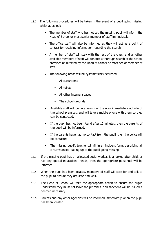- 13.2. The following procedures will be taken in the event of a pupil going missing whilst at school:
	- The member of staff who has noticed the missing pupil will inform the Head of School or most senior member of staff immediately.
	- The office staff will also be informed as they will act as a point of contact for receiving information regarding the search.
	- A member of staff will stay with the rest of the class, and all other available members of staff will conduct a thorough search of the school premises as directed by the Head of School or most senior member of staff.
	- The following areas will be systematically searched:
		- − All classrooms
		- − All toilets
		- − All other internal spaces
		- − The school grounds
	- Available staff will begin a search of the area immediately outside of the school premises, and will take a mobile phone with them so they can be contacted.
	- If the pupil has not been found after 10 minutes, then the parents of the pupil will be informed.
	- If the parents have had no contact from the pupil, then the police will be contacted.
	- The missing pupil's teacher will fill in an incident form, describing all circumstances leading up to the pupil going missing.
- 13.3. If the missing pupil has an allocated social worker, is a looked after child, or has any special educational needs, then the appropriate personnel will be informed.
- 13.4. When the pupil has been located, members of staff will care for and talk to the pupil to ensure they are safe and well.
- 13.5. The Head of School will take the appropriate action to ensure the pupils understand they must not leave the premises, and sanctions will be issued if deemed necessary.
- 13.6. Parents and any other agencies will be informed immediately when the pupil has been located.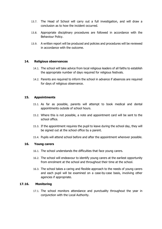- 13.7. The Head of School will carry out a full investigation, and will draw a conclusion as to how the incident occurred.
- 13.8. Appropriate disciplinary procedures are followed in accordance with the Behaviour Policy.
- 13.9. A written report will be produced and policies and procedures will be reviewed in accordance with the outcome.

#### <span id="page-8-0"></span>**14. Religious observances**

- 14.1. The school will take advice from local religious leaders of all faiths to establish the appropriate number of days required for religious festivals.
- 14.2. Parents are required to inform the school in advance if absences are required for days of religious observance.

#### <span id="page-8-1"></span>**15. Appointments**

- 15.1. As far as possible, parents will attempt to book medical and dental appointments outside of school hours.
- 15.2. Where this is not possible, a note and appointment card will be sent to the school office.
- 15.3. If the appointment requires the pupil to leave during the school day, they will be signed out at the school office by a parent.
- 15.4. Pupils will attend school before and after the appointment wherever possible.

#### <span id="page-8-2"></span>**16. Young carers**

- 16.1. The school understands the difficulties that face young carers.
- 16.2. The school will endeavour to identify young carers at the earliest opportunity from enrolment at the school and throughout their time at the school.
- 16.3. The school takes a caring and flexible approach to the needs of young carers and each pupil will be examined on a case-by-case basis, involving other agencies if appropriate.

#### **17.16. Monitoring**

17.1. The school monitors attendance and punctuality throughout the year in conjunction with the Local Authority.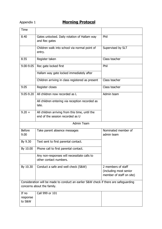# Appendix 1 **Morning Protocol**

| <b>Time</b>                 |                                                                                      |                                                                          |
|-----------------------------|--------------------------------------------------------------------------------------|--------------------------------------------------------------------------|
| 8.40                        | Gates unlocked. Daily rotation of Hallam way<br>and Rec gates                        | Phil                                                                     |
|                             | Children walk into school via normal point of<br>entry.                              | Supervised by SLT                                                        |
| 8.55                        | Register taken                                                                       | Class teacher                                                            |
| 9.00-9.05                   | Rec gate locked first                                                                | Phil                                                                     |
|                             | Hallam way gate locked immediately after                                             |                                                                          |
|                             | Children arriving in class registered as present                                     | Class teacher                                                            |
| 9.05                        | Register closes                                                                      | Class teacher                                                            |
| 9.05-9.20                   | All children now recorded as L                                                       | Admin team                                                               |
|                             | All children entering via reception recorded as<br>late.                             |                                                                          |
| $9.20 +$                    | All children arriving from this time, until the<br>end of the session recorded as U  |                                                                          |
|                             | <b>Admin Team</b>                                                                    |                                                                          |
| <b>Before</b><br>9.00       | Take parent absence messages                                                         | Nominated member of<br>admin team                                        |
| By 9.30                     | Text sent to first parental contact.                                                 |                                                                          |
| By 10.00                    | Phone call to first parental contact.                                                |                                                                          |
|                             | Any non-responses will necessitate calls to<br>other contact numbers.                |                                                                          |
| By 10.30                    | Conduct a safe and well check (S&W)                                                  | 2 members of staff<br>(including most senior<br>member of staff on site) |
|                             | Consideration will be made to conduct an earlier S&W check if there are safeguarding |                                                                          |
|                             | concerns about the family.                                                           |                                                                          |
| If no<br>response<br>to S&W | Call 999 or 101                                                                      |                                                                          |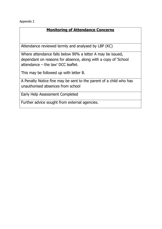Appendix 2

## **Monitoring of Attendance Concerns**

Attendance reviewed termly and analysed by LBP (KC)

Where attendance falls below 90% a letter A may be issued, dependant on reasons for absence, along with a copy of 'School attendance – the law' DCC leaflet.

This may be followed up with letter B.

A Penalty Notice fine may be sent to the parent of a child who has unauthorised absences from school

Early Help Assessment Completed

Further advice sought from external agencies.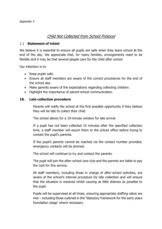### Child Not Collected from School Protocol

#### 1.1 **Statement of intent**

We believe it is essential to ensure all pupils are safe when they leave school at the end of the day. We appreciate that, for many families, arrangements need to be flexible and it may be that several people care for the child after school.

Our intention is to:

- Keep pupils safe.
- Ensure all staff members are aware of the correct procedures for the end of the school day.
- Make parents aware of the expectations regarding collecting children.
- Highlight the importance of parent-school communication.

#### **18. Late collection procedure**

Parents will notify the school at the first possible opportunity if they believe they will be late to collect their child.

The school allows for a 10-minute window for late arrival.

If a pupil has not been collected 10 minutes after the specified collection time, a staff member will escort them to the school office before trying to contact the pupil's parents.

If the pupil's parents cannot be reached via the contact number provided, emergency contacts will be phoned.

The school will continue to try and contact the parents.

The pupil will join the after-school care club and the parents are liable to pay the cost for this service.

All staff members, including those in charge of after-school activities, are aware of the school's internal procedure for late collection and will ensure that the situation is resolved whilst causing as little distress as possible to the pupil.

Pupils will be supervised at all times, ensuring appropriate staffing ratios are met – including those outlined in the 'Statutory framework for the early years foundation stage' where necessary.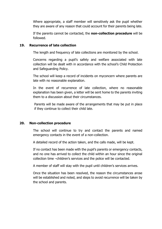Where appropriate, a staff member will sensitively ask the pupil whether they are aware of any reason that could account for their parents being late.

If the parents cannot be contacted, the **non-collection procedure** will be followed.

#### **19. Recurrence of late collection**

The length and frequency of late collections are monitored by the school.

Concerns regarding a pupil's safety and welfare associated with late collection will be dealt with in accordance with the school's Child Protection and Safeguarding Policy.

The school will keep a record of incidents on myconcern where parents are late with no reasonable explanation.

In the event of recurrence of late collection, where no reasonable explanation has been given, a letter will be sent home to the parents inviting them to a discussion about their circumstances.

Parents will be made aware of the arrangements that may be put in place if they continue to collect their child late.

#### **20. Non-collection procedure**

The school will continue to try and contact the parents and named emergency contacts in the event of a non-collection.

A detailed record of the action taken, and the calls made, will be kept.

If no contact has been made with the pupil's parents or emergency contacts, and no one has arrived to collect the child within an hour since the original collection time –children's services and the police will be contacted.

A member of staff will stay with the pupil until children's services arrives.

Once the situation has been resolved, the reason the circumstances arose will be established and noted, and steps to avoid recurrence will be taken by the school and parents.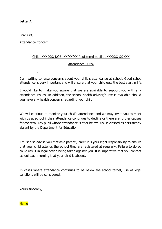#### **Letter A**

Dear XXX,

,

Attendance Concern

#### Child: XXX XXX DOB: XX/XX/XX Registered pupil at XXXXXX XX XXX

#### Attendance: XX%

I am writing to raise concerns about your child's attendance at school. Good school attendance is very important and will ensure that your child gets the best start in life.

I would like to make you aware that we are available to support you with any attendance issues. In addition, the school health advisor/nurse is available should you have any health concerns regarding your child.

We will continue to monitor your child's attendance and we may invite you to meet with us at school if their attendance continues to decline or there are further causes for concern. Any pupil whose attendance is at or below 90% is classed as persistently absent by the Department for Education.

I must also advise you that as a parent / carer it is your legal responsibility to ensure that your child attends the school they are registered at regularly. Failure to do so could result in legal action being taken against you. It is imperative that you contact school each morning that your child is absent.

In cases where attendance continues to be below the school target, use of legal sanctions will be considered.

Yours sincerely,

Name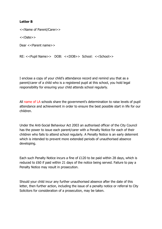### **Letter B**

<<Name of Parent/Carer>>

<<Date>>

Dear <<Parent name>>

RE: <<Pupil Name>> DOB: <<DOB>> School: <<School>>

I enclose a copy of your child's attendance record and remind you that as a parent/carer of a child who is a registered pupil at this school, you hold legal responsibility for ensuring your child attends school regularly.

All name of LA schools share the government's determination to raise levels of pupil attendance and achievement in order to ensure the best possible start in life for our children.

Under the Anti-Social Behaviour Act 2003 an authorised officer of the City Council has the power to issue each parent/carer with a Penalty Notice for each of their children who fails to attend school regularly. A Penalty Notice is an early deterrent which is intended to prevent more extended periods of unauthorised absence developing.

Each such Penalty Notice incurs a fine of £120 to be paid within 28 days, which is reduced to £60 if paid within 21 days of the notice being served. Failure to pay a Penalty Notice may result in prosecution.

Should your child incur any further unauthorised absence after the date of this letter, then further action, including the issue of a penalty notice or referral to City Solicitors for consideration of a prosecution, may be taken.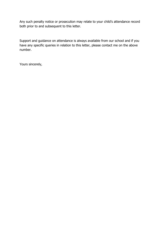Any such penalty notice or prosecution may relate to your child's attendance record both prior to and subsequent to this letter.

Support and guidance on attendance is always available from our school and if you have any specific queries in relation to this letter, please contact me on the above number.

Yours sincerely,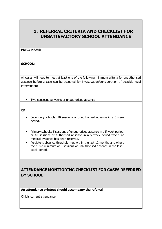# **1. REFERRAL CRITERIA AND CHECKLIST FOR UNSATISFACTORY SCHOOL ATTENDANCE**

#### **PUPIL NAME:**

**SCHOOL:**

All cases will need to meet at least one of the following minimum criteria for unauthorised absence before a case can be accepted for investigation/consideration of possible legal intervention:

▪ Two consecutive weeks of unauthorised absence

OR

- Secondary schools: 10 sessions of unauthorised absence in a 5 week period.
- **•** Primary schools: 5 sessions of unauthorised absence in a 5 week period, or 10 sessions of authorised absence in a 5 week period where no medical evidence has been received.
- **•** Persistent absence threshold met within the last 12 months and where there is a minimum of 5 sessions of unauthorised absence in the last 5 week period.

# **ATTENDANCE MONITORING CHECKLIST FOR CASES REFERRED BY SCHOOL**

**An attendance printout should accompany the referral**

Child's current attendance: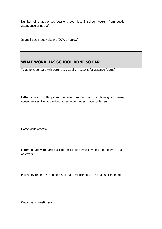| Number of unauthorised sessions over last 5 school weeks (from pupils          |  |
|--------------------------------------------------------------------------------|--|
| attendance print out)                                                          |  |
|                                                                                |  |
|                                                                                |  |
|                                                                                |  |
| Is pupil persistently absent (90% or below):                                   |  |
|                                                                                |  |
|                                                                                |  |
|                                                                                |  |
|                                                                                |  |
|                                                                                |  |
| WHAT WORK HAS SCHOOL DONE SO FAR                                               |  |
|                                                                                |  |
|                                                                                |  |
| Telephone contact with parent to establish reasons for absence (dates):        |  |
|                                                                                |  |
|                                                                                |  |
|                                                                                |  |
|                                                                                |  |
|                                                                                |  |
|                                                                                |  |
|                                                                                |  |
| Letter contact with parent, offering support and explaining concerns/          |  |
| consequences if unauthorised absence continues (dates of letters):             |  |
|                                                                                |  |
|                                                                                |  |
|                                                                                |  |
|                                                                                |  |
|                                                                                |  |
|                                                                                |  |
|                                                                                |  |
| Home visits (dates):                                                           |  |
|                                                                                |  |
|                                                                                |  |
|                                                                                |  |
|                                                                                |  |
|                                                                                |  |
| Letter contact with parent asking for future medical evidence of absence (date |  |
| of letter):                                                                    |  |
|                                                                                |  |
|                                                                                |  |
|                                                                                |  |
|                                                                                |  |
|                                                                                |  |
| Parent invited into school to discuss attendance concerns (dates of meetings): |  |
|                                                                                |  |
|                                                                                |  |
|                                                                                |  |
|                                                                                |  |
|                                                                                |  |
|                                                                                |  |
|                                                                                |  |
|                                                                                |  |
| Outcome of meeting(s):                                                         |  |